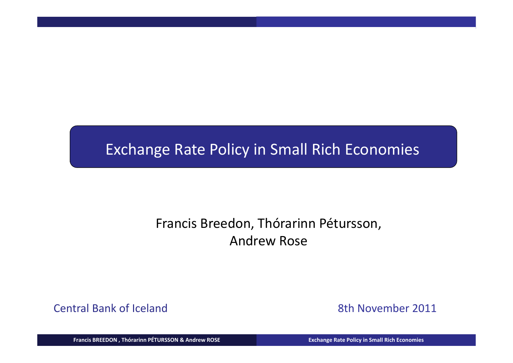### Exchange Rate Policy in Small Rich Economies

### Francis Breedon, Thórarinn Pétursson, Andrew Rose

Central Bank of Iceland

8th November 2011

Francis BREEDON, Thórarinn PÉTURSSON & Andrew ROSE New York Castell Care and Exchange Rate Policy in Small Rich Economies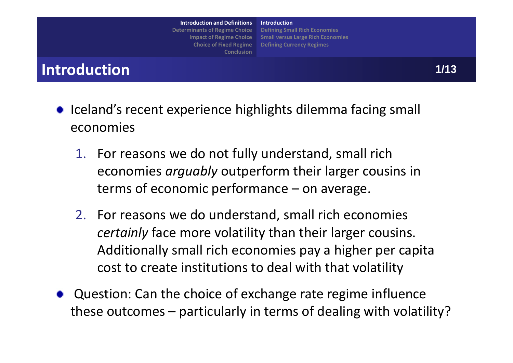**Introduction and Definitions Determinants of Regime Choice Impact of Regime Choice Choice of Fixed Regime Conclusion** **IntroductionDefining Small Rich Economies Small versus Large Rich Economies Defining Currency Regimes**

### **Introduction**

- Iceland's recent experience highlights dilemma facing small economies
	- 1. For reasons we do not fully understand, small rich economies *arguably* outperform their larger cousins in terms of economic performance – on average.
	- 2. For reasons we do understand, small rich economies *certainly* face more volatility than their larger cousins. Additionally small rich economies pay <sup>a</sup> higher per capita cost to create institutions to deal with that volatility
- Question: Can the choice of exchange rate regime influence these outcomes – particularly in terms of dealing with volatility?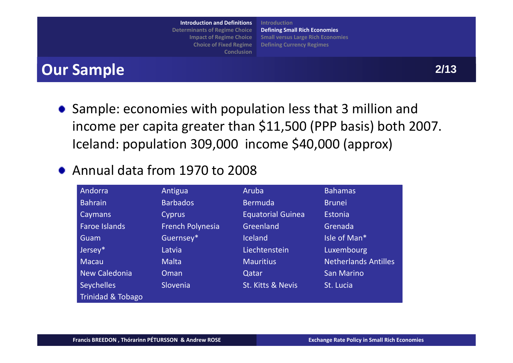**IntroductionIntroduction and Definitions Determinants of Regime Choice Institutional Project Francise Le** of **Fixed** Regime **Conclusion inants of Regime Choice<br>Impact of Regime Choice<br>Choice of Fixed Regime** 

**Motivation Introduction Defining Small Rich Economies Small versus Large Rich Economies Defining Currency Regimes**

## **Sample of Small Rich Economies 2 Our Sample 2/13**

• Sample: economies with population less that 3 million and income per capita greater than \$11,500 (PPP basis) both 2007. Iceland: population 309,000 income \$40,000 (approx)

### Annual data from 1970 to 2008

| Andorra              | Antigua                 | Aruba                    | <b>Bahamas</b>       |
|----------------------|-------------------------|--------------------------|----------------------|
| <b>Bahrain</b>       | <b>Barbados</b>         | <b>Bermuda</b>           | <b>Brunei</b>        |
| Caymans              | Cyprus                  | <b>Equatorial Guinea</b> | Estonia              |
| <b>Faroe Islands</b> | <b>French Polynesia</b> | Greenland                | Grenada              |
| Guam                 | Guernsey*               | <b>Iceland</b>           | Isle of Man*         |
| Jersey*              | Latvia                  | Liechtenstein            | Luxembourg           |
| Macau                | <b>Malta</b>            | <b>Mauritius</b>         | Netherlands Antilles |
| New Caledonia        | Oman                    | Qatar                    | <b>San Marino</b>    |
| <b>Seychelles</b>    | Slovenia                | St. Kitts & Nevis        | St. Lucia            |
| Trinidad & Tobago    |                         |                          |                      |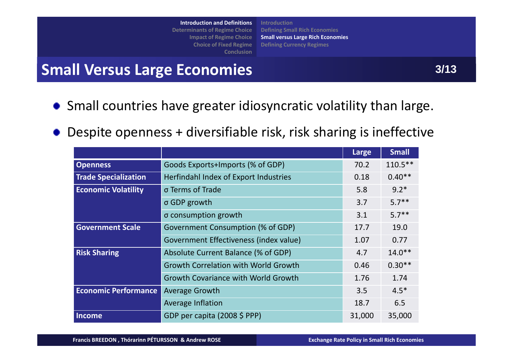**Introduction and Definitions Determinants of Regime Choice Institutional Project Francise Le** of **Fixed** Regime **Conclusion inants of Regime Choice<br>Impact of Regime Choice<br>Choice of Fixed Regime** 

**MotivationIntroductionDefining Small Rich Economies Small versus Large Rich Economies Defining Currency Regimes**

## Introduction and Definitions<br>
Deferminants of Regime Choice<br>
Impact of Regime Choice<br>
Choice of Fitting Small Versus Large Rich Economies<br>
Conclusion<br>
Conclusion<br>
Conclusion<br>
Conclusion<br>
Conclusion<br>
Conclusion<br>
Conclusion<br>

- Small countries have greater idiosyncratic volatility than large.
- Despite openness + diversifiable risk, risk sharing is ineffective

|                             |                                             | Large  | <b>Small</b> |
|-----------------------------|---------------------------------------------|--------|--------------|
| <b>Openness</b>             | Goods Exports+Imports (% of GDP)            | 70.2   | $110.5***$   |
| <b>Trade Specialization</b> | Herfindahl Index of Export Industries       | 0.18   | $0.40**$     |
| <b>Economic Volatility</b>  | σ Terms of Trade                            | 5.8    | $9.2*$       |
|                             | σ GDP growth                                | 3.7    | $5.7***$     |
|                             | σ consumption growth                        | 3.1    | $5.7***$     |
| <b>Government Scale</b>     | Government Consumption (% of GDP)           | 17.7   | 19.0         |
|                             | Government Effectiveness (index value)      | 1.07   | 0.77         |
| <b>Risk Sharing</b>         | Absolute Current Balance (% of GDP)         | 4.7    | $14.0**$     |
|                             | <b>Growth Correlation with World Growth</b> | 0.46   | $0.30**$     |
|                             | <b>Growth Covariance with World Growth</b>  | 1.76   | 1.74         |
| <b>Economic Performance</b> | <b>Average Growth</b>                       | 3.5    | $4.5*$       |
|                             | <b>Average Inflation</b>                    | 18.7   | 6.5          |
| <b>Income</b>               | GDP per capita (2008 \$ PPP)                | 31,000 | 35,000       |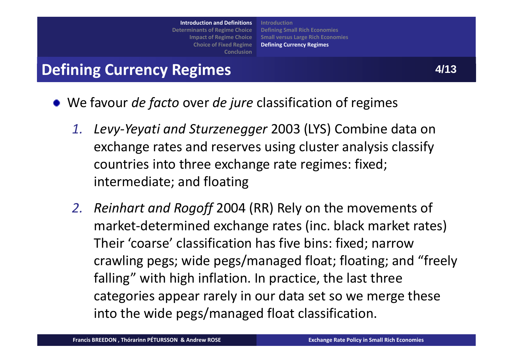**IntroductionDeterminants of Regime Choice Institutional Project Francise Le** of **Fixed** Regime **Conclusion inants of Regime Choice<br>Impact of Regime Choice<br>Choice of Fixed Regime** 

**MotivationIntroductionDefining Small Rich Economies Small versus Large Rich Economies Defining Currency Regimes**

# Introduction and Definitions<br>
Defining Small Rich Economies<br>
Impact of Regime Choice<br>
Choice of Fixel Regime Defining Currency Regimes<br>
Conclusion<br>
Conclusion<br>
Conclusion<br>
Conclusion<br>
Conclusion<br>
Conclusion<br>
Conclusion<br>
Co

- We favour *de facto* over *de jure* classification of regimes
	- *1. Levy‐Yeyati and Sturzenegger* 2003 (LYS) Combine data on exchange rates and reserves using cluster analysis classify countries into three exchange rate regimes: fixed; intermediate; and floating
	- *2. Reinhart and Rogoff* 2004 (RR) Rely on the movements of market‐determined exchange rates (inc. black market rates) Their 'coarse' classification has five bins: fixed; narrow crawling pegs; wide pegs/managed float; floating; and "freely falling" with high inflation. In practice, the last three categories appear rarely in our data set so we merge these into the wide pegs/managed float classification.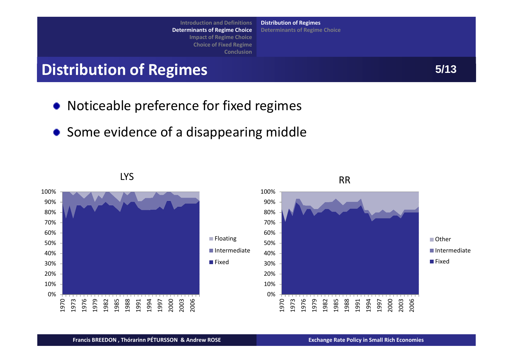**IntroductionDeterminants of Regime Choice Institutional Project Francise Le** of **Fixed** Regime **Conclusion** Introduction and Definitions<br>
Determinants of Regime Choice<br>
Impact of Regime Choice<br>
Conclusion<br>
Conclusion<br>
Conclusion<br>
Conclusion<br>
Conclusion<br>
Conclusion<br>
Conclusion<br>
Conclusion<br>
Conclusion<br>
Conclusion<br>
Conclusion<br>
Conc **inants of Regime Choice**<br>Impact of Regime Choice<br>Choice of Fixed Regime

**Motivation Distribution of Regimes Determinants of Regime Choice**

- Noticeable preference for fixed regimes
- Some evidence of <sup>a</sup> disappearing middle

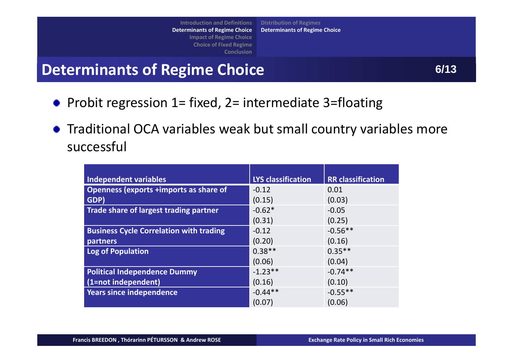**Motivation Distribution of Regimes Determinants of Regime Choice**

- Probit regression  $1=$  fixed,  $2=$  intermediate 3=floating
- Traditional OCA variables weak but small country variables more successful

| Independent variables                          | <b>LYS classification</b> | <b>RR</b> classification |
|------------------------------------------------|---------------------------|--------------------------|
| Openness (exports +imports as share of         | $-0.12$                   | 0.01                     |
| GDP)                                           | (0.15)                    | (0.03)                   |
| Trade share of largest trading partner         | $-0.62*$                  | $-0.05$                  |
|                                                | (0.31)                    | (0.25)                   |
| <b>Business Cycle Correlation with trading</b> | $-0.12$                   | $-0.56**$                |
| partners                                       | (0.20)                    | (0.16)                   |
| <b>Log of Population</b>                       | $0.38**$                  | $0.35**$                 |
|                                                | (0.06)                    | (0.04)                   |
| <b>Political Independence Dummy</b>            | $-1.23**$                 | $-0.74**$                |
| (1=not independent)                            | (0.16)                    | (0.10)                   |
| <b>Years since independence</b>                | $-0.44**$                 | $-0.55**$                |
|                                                | (0.07)                    | (0.06)                   |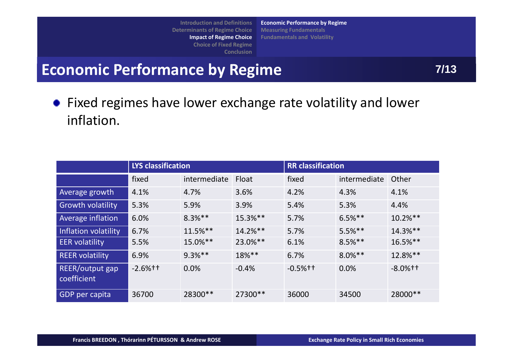**Introduction and Definitions Determinants of Regime Choice Institutional Figure Choice Le** of **Fixed** Regime **Conclusion Motivation Economic Performance by Regime i** inants of Regime Choice<br>Impact of Regime Choice<br>Choice of Fixed Regime **Measuring Fundamentals Fundamentals and Volatility**

Introduction and Definitions<br>
Determinants of Regime Choice<br>
Impact of Regime Choice<br>
Choice of Fixed Regime Choice<br>
Conclusion<br>
Conclusion<br>
Conclusion<br>
Conclusion<br>
Conclusion<br>
Conclusion<br>
Conclusion<br>
Conclusion<br>
Conclusio

Fixed regimes have lower exchange rate volatility and lower inflation.

|                                | <b>LYS classification</b> |              |            | <b>RR</b> classification |              |              |
|--------------------------------|---------------------------|--------------|------------|--------------------------|--------------|--------------|
|                                | fixed                     | intermediate | Float      | fixed                    | intermediate | Other        |
| Average growth                 | 4.1%                      | 4.7%         | 3.6%       | 4.2%                     | 4.3%         | 4.1%         |
| <b>Growth volatility</b>       | 5.3%                      | 5.9%         | 3.9%       | 5.4%                     | 5.3%         | 4.4%         |
| Average inflation              | 6.0%                      | $8.3%$ **    | 15.3%**    | 5.7%                     | $6.5%$ **    | $10.2\%$ **  |
| Inflation volatility           | 6.7%                      | $11.5%$ **   | $14.2%$ ** | 5.7%                     | $5.5%$ **    | 14.3%**      |
| <b>EER</b> volatility          | 5.5%                      | 15.0%**      | 23.0%**    | 6.1%                     | $8.5%$ **    | $16.5%$ **   |
| <b>REER volatility</b>         | 6.9%                      | $9.3%$ **    | 18%**      | 6.7%                     | $8.0\%***$   | 12.8%**      |
| REER/output gap<br>coefficient | $-2.6%$ <sup>++</sup>     | 0.0%         | $-0.4%$    | $-0.5%$ <sup>++</sup>    | 0.0%         | $-8.0\%$ † † |
| <b>GDP</b> per capita          | 36700                     | 28300**      | 27300**    | 36000                    | 34500        | 28000**      |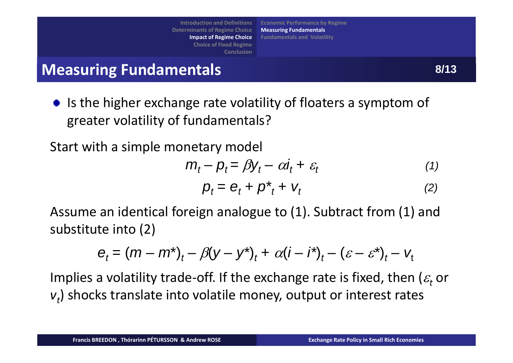**IntroductionDeterminants of Regime Choice Institutional Figure Choice Le** of **Fixed** Regime **Motivation Economic Performance by Regime** Introduction and Definitions<br>
Determinants of Regime Choice Measuring Fundamentals<br>
Impact of Regime Choice Fundamentals and Volatility<br>
Conclusion<br>
Conclusion<br>
Conclusion<br>
Conclusion<br>
Conclusion<br>
Conclusion<br>
Conclusion<br>
C **i** inants of Regime Choice<br>Impact of Regime Choice<br>Choice of Fixed Regime **Measuring Fundamentals Fundamentals and Volatility**

**Conclusion** 

Is the higher exchange rate volatility of floaters <sup>a</sup> symptom of greater volatility of fundamentals?

Start with <sup>a</sup> simple monetary model

$$
m_t - p_t = \beta y_t - \alpha i_t + \varepsilon_t \tag{1}
$$

$$
p_t = e_t + p_{t}^* + v_t \tag{2}
$$

Assume an identical foreign analogue to (1). Subtract from (1) and substitute into (2)

$$
e_t = (m - m^*)_t - \beta(y - y^*)_t + \alpha(i - i^*)_t - (\varepsilon - \varepsilon^*)_t - v_t
$$

Implies a volatility trade-off. If the exchange rate is fixed, then ( $\varepsilon_{\!t}$  or  $v<sub>t</sub>$ ) shocks translate into volatile money, output or interest rates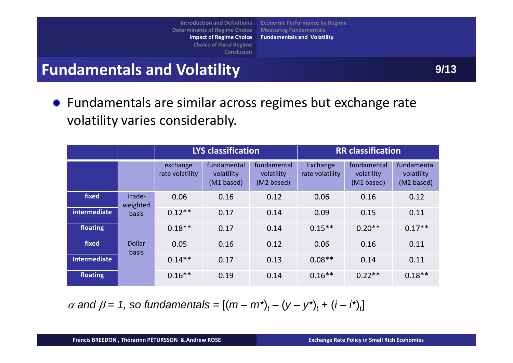**Introduction and Definitions Determinants of Regime Choice Institutional Figure Choice Le** of **Fixed** Regime **Conclusion i** inants of Regime Choice<br>Impact of Regime Choice<br>Choice of Fixed Regime

**Motivation Economic Performance by Regime Measuring Fundamentals Fundamentals and Volatility**

# Introduction and Definitions<br>
Determinants of Regime Choice Measuring Fundamentals<br>
Impact of Regime Choice<br>
Choice of Fixed Regime<br>
Conclusion<br>
Conclusion<br>
Conclusion<br>
Conclusion<br>
Conclusion<br>
Conclusion<br>
Conclusion<br>
Concl

Fundamentals are similar across regimes but exchange rate volatility varies considerably.

|                     |                               | <b>LYS classification</b>   |                                         |                                         | <b>RR</b> classification    |                                         |                                         |
|---------------------|-------------------------------|-----------------------------|-----------------------------------------|-----------------------------------------|-----------------------------|-----------------------------------------|-----------------------------------------|
|                     |                               | exchange<br>rate volatility | fundamental<br>volatility<br>(M1 based) | fundamental<br>volatility<br>(M2 based) | Exchange<br>rate volatility | fundamental<br>volatility<br>(M1 based) | fundamental<br>volatility<br>(M2 based) |
| fixed               | Trade-<br>weighted            | 0.06                        | 0.16                                    | 0.12                                    | 0.06                        | 0.16                                    | 0.12                                    |
| intermediate        | basis                         | $0.12**$                    | 0.17                                    | 0.14                                    | 0.09                        | 0.15                                    | 0.11                                    |
| floating            |                               | $0.18**$                    | 0.17                                    | 0.14                                    | $0.15**$                    | $0.20**$                                | $0.17**$                                |
| fixed               | <b>Dollar</b><br><b>basis</b> | 0.05                        | 0.16                                    | 0.12                                    | 0.06                        | 0.16                                    | 0.11                                    |
| <b>Intermediate</b> |                               | $0.14**$                    | 0.17                                    | 0.13                                    | $0.08**$                    | 0.14                                    | 0.11                                    |
| floating            |                               | $0.16**$                    | 0.19                                    | 0.14                                    | $0.16**$                    | $0.22**$                                | $0.18**$                                |

 $\alpha$  and  $\beta = 1$ , so fundamentals =  $[(m - m^*)_t - (y - y^*)_t + (i - i^*)_t]$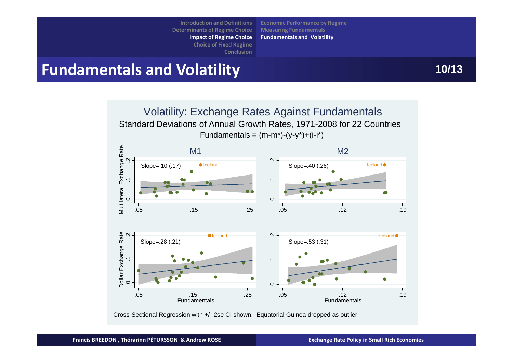**IntroductionDeterminants of Regime Choice Institutional Figure Choice** *<u><b>l* e of Fixed Regime</u> **Conclusion i** inants of Regime Choice<br>Impact of Regime Choice<br>Choice of Fixed Regime

**Motivation Economic Performance by Regime Measuring Fundamentals Fundamentals and Volatility**

## Introduction and Definitions<br>
Determinants of Regime Choice Measuring Fundamentals<br>
Impact of Regime Choice<br>
Choice of Fixed Regime<br>
Conclusion<br>
Conclusion<br>
Conclusion<br>
Conclusion<br>
Conclusion<br>
Conclusion<br>
Conclusion<br>
Concl



Cross-Sectional Regression with +/- 2se CI shown. Equatorial Guinea dropped as outlier.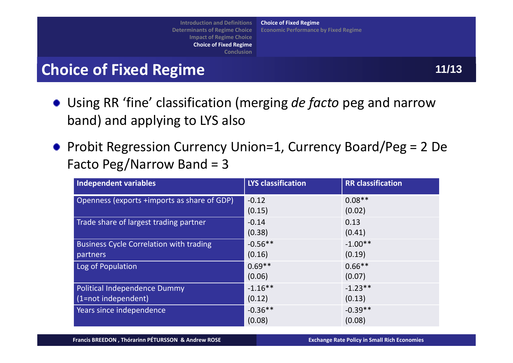**Introduction and Definitions Determinants of Regime Choice Institutional Project Francise Literature Review of Fixed Regime Conclusion Motivation Choice of Fixed Regime** Introduction and Definitions<br>
Determinants of Regime Choice<br>
Impact of Regime Choice<br>
Choice of Fixed Regime<br>
Choice of Fixed Regime<br>
Choice of Fixed Regime<br>
Choice of Fixed Regime<br>
Choice of Fixed Regime<br>
Choice of Fixed **i** inants of Regime Choice<br>Impact of Regime Choice<br>Choice of Fixed Regime **Economic Performance by Fixed Regime**

- Using RR 'fine' classification (merging *de facto* peg and narrow band) and applying to LYS also
- Probit Regression Currency Union=1, Currency Board/Peg = 2 De Facto Peg/Narrow Band <sup>=</sup> 3

| <b>Independent variables</b>                   | <b>LYS classification</b> | <b>RR</b> classification |
|------------------------------------------------|---------------------------|--------------------------|
| Openness (exports +imports as share of GDP)    | $-0.12$                   | $0.08**$                 |
|                                                | (0.15)                    | (0.02)                   |
| Trade share of largest trading partner         | $-0.14$                   | 0.13                     |
|                                                | (0.38)                    | (0.41)                   |
| <b>Business Cycle Correlation with trading</b> | $-0.56**$                 | $-1.00**$                |
| partners                                       | (0.16)                    | (0.19)                   |
| Log of Population                              | $0.69**$                  | $0.66***$                |
|                                                | (0.06)                    | (0.07)                   |
| Political Independence Dummy                   | $-1.16**$                 | $-1.23**$                |
| (1=not independent)                            | (0.12)                    | (0.13)                   |
| Years since independence                       | $-0.36**$                 | $-0.39**$                |
|                                                | (0.08)                    | (0.08)                   |

Francis BREEDON, Thórarinn PÉTURSSON & Andrew ROSE New York Controller (Exchange Rate Policy in Small Rich Economies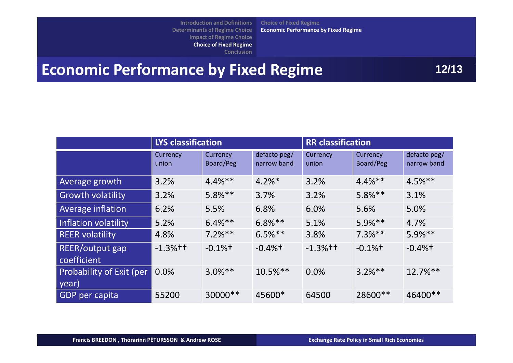**d** Definitions **Determinants of Regime Choice Institutional Project Francise e** of Fixed Regime **i** inants of Regime Choice<br>Impact of Regime Choice<br>Choice of Fixed Regime

**Motivation Choice of Fixed Regime Economic Performance by Fixed Regime**

**Conclusion** 

## Introduction and Definitions<br>
Determinants of Regime Choice Economic Performance by Fixed Regime<br>
Choice of Fixed Regime<br>
Conclusion<br>
Conclusion<br>
Conclusion<br>
Conclusion<br>
Conclusion<br>
Conclusion<br>
Conclusion<br>
Conclusion<br>
Conc

|                                   | <b>LYS classification</b> |                       |                             | <b>RR</b> classification |                       |                             |
|-----------------------------------|---------------------------|-----------------------|-----------------------------|--------------------------|-----------------------|-----------------------------|
|                                   | Currency<br>union         | Currency<br>Board/Peg | defacto peg/<br>narrow band | Currency<br>union        | Currency<br>Board/Peg | defacto peg/<br>narrow band |
| Average growth                    | 3.2%                      | $4.4%$ **             | $4.2\%$ <sup>*</sup>        | 3.2%                     | $4.4%$ **             | $4.5%$ **                   |
| <b>Growth volatility</b>          | 3.2%                      | $5.8%$ **             | 3.7%                        | 3.2%                     | $5.8\%**$             | 3.1%                        |
| Average inflation                 | 6.2%                      | 5.5%                  | 6.8%                        | 6.0%                     | 5.6%                  | 5.0%                        |
| Inflation volatility              | 5.2%                      | $6.4%$ **             | $6.8\%**$                   | 5.1%                     | $5.9\%**$             | 4.7%                        |
| <b>REER volatility</b>            | 4.8%                      | $7.2%$ **             | $6.5%$ **                   | 3.8%                     | $7.3%$ **             | $5.9%$ **                   |
| REER/output gap<br>coefficient    | $-1.3%$ <sup>++</sup>     | $-0.1\%$ <sup>+</sup> | $-0.4%$ <sup>+</sup>        | $-1.3%$ † †              | $-0.1\%$ <sup>+</sup> | $-0.4%$ <sup>+</sup>        |
| Probability of Exit (per<br>year) | 0.0%                      | $3.0\%**$             | $10.5%$ **                  | 0.0%                     | $3.2%$ **             | $12.7\%$ **                 |
| <b>GDP</b> per capita             | 55200                     | 30000**               | 45600*                      | 64500                    | 28600 **              | 46400**                     |